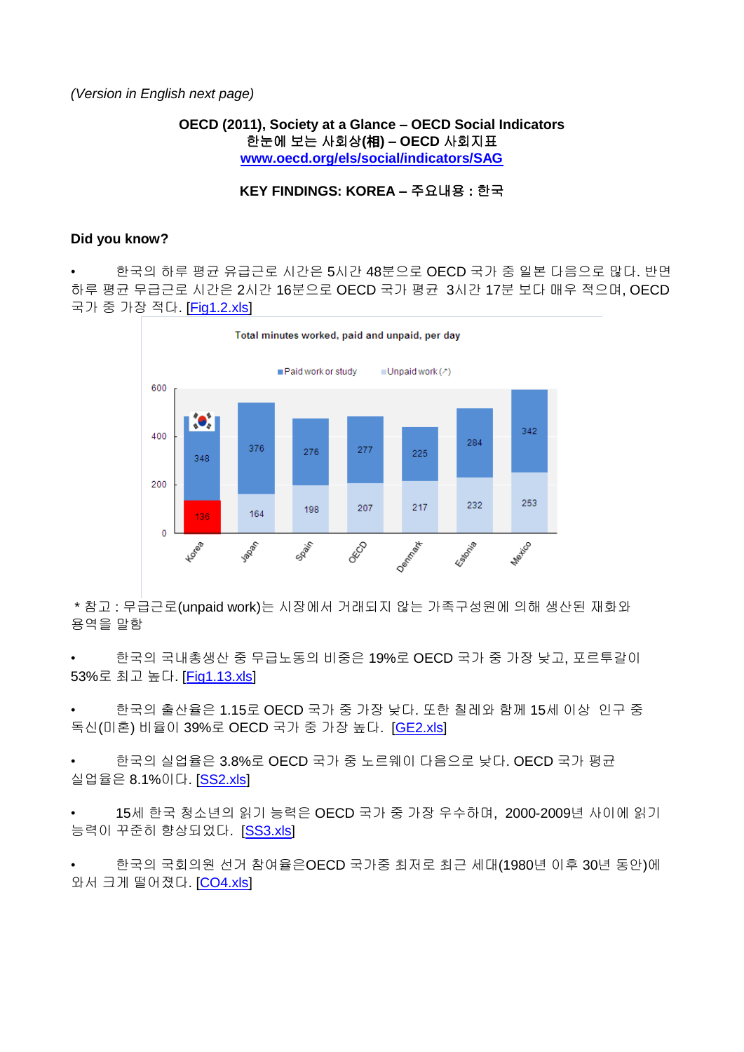*(Version in English next page)*

**OECD (2011), Society at a Glance – OECD Social Indicators** 한눈에 보는 사회상**(**相**) – OECD** 사회지표 **[www.oecd.org/els/social/indicators/SAG](http://www.oecd.org/els/social/indicators/SAG)**

### **KEY FINDINGS: KOREA –** 주요내용 **:** 한국

### **Did you know?**

• 한국의 하루 평균 유급근로 시간은 5시간 48분으로 OECD 국가 중 일본 다음으로 많다. 반면 하루 평균 무급근로 시간은 2시간 16분으로 OECD 국가 평균 3시간 17분 보다 매우 적으며, OECD 국가 중 가장 적다. [\[Fig1.2.xls\]](http://dx.doi.org/10.1787/888932381456)



\* 참고 : 무급근로(unpaid work)는 시장에서 거래되지 않는 가족구성원에 의해 생산된 재화와 용역을 말함

한국의 국내총생산 중 무급노동의 비중은 19%로 OECD 국가 중 가장 낮고, 포르투갈이 53%로 최고 높다. [\[Fig1.13.xls\]](http://dx.doi.org/10.1787/888932381665)

• 한국의 출산율은 1.15로 OECD 국가 중 가장 낮다. 또한 칠레와 함께 15세 이상 인구 중 독신(미혼) 비율이 39%로 OECD 국가 중 가장 높다. [\[GE2.xls\]](http://dx.doi.org/10.1787/888932381703)

• 한국의 실업율은 3.8%로 OECD 국가 중 노르웨이 다음으로 낮다. OECD 국가 평균 실업율은 8.1%이다. [\[SS2.xls\]](http://dx.doi.org/10.1787/888932381798)

• 15세 한국 청소년의 읽기 능력은 OECD 국가 중 가장 우수하며, 2000-2009년 사이에 읽기 능력이 꾸준히 향상되었다. [\[SS3.xls\]](http://dx.doi.org/10.1787/888932381817)

한국의 국회의원 선거 참여율은OECD 국가중 최저로 최근 세대(1980년 이후 30년 동안)에 와서 크게 떨어졌다. [\[CO4.xls\]](http://dx.doi.org/10.1787/888932382121)